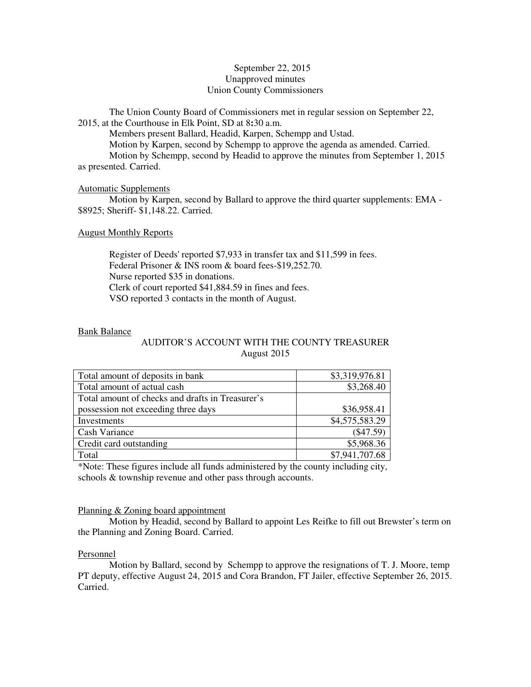# September 22, 2015 Unapproved minutes Union County Commissioners

The Union County Board of Commissioners met in regular session on September 22, 2015, at the Courthouse in Elk Point, SD at 8**:**30 a.m.

Members present Ballard, Headid, Karpen, Schempp and Ustad.

 Motion by Karpen, second by Schempp to approve the agenda as amended. Carried. Motion by Schempp, second by Headid to approve the minutes from September 1, 2015 as presented. Carried.

# Automatic Supplements

 Motion by Karpen, second by Ballard to approve the third quarter supplements: EMA - \$8925; Sheriff- \$1,148.22. Carried.

# August Monthly Reports

 Register of Deeds' reported \$7,933 in transfer tax and \$11,599 in fees. Federal Prisoner & INS room & board fees-\$19,252.70. Nurse reported \$35 in donations. Clerk of court reported \$41,884.59 in fines and fees. VSO reported 3 contacts in the month of August.

# Bank Balance

# AUDITOR'S ACCOUNT WITH THE COUNTY TREASURER August 2015

| Total amount of deposits in bank                 | \$3,319,976.81 |
|--------------------------------------------------|----------------|
| Total amount of actual cash                      | \$3,268.40     |
| Total amount of checks and drafts in Treasurer's |                |
| possession not exceeding three days              | \$36,958.41    |
| Investments                                      | \$4,575,583.29 |
| Cash Variance                                    | $(\$47.59)$    |
| Credit card outstanding                          | \$5,968.36     |
| Total                                            | \$7,941,707.68 |

\*Note: These figures include all funds administered by the county including city, schools & township revenue and other pass through accounts.

# Planning & Zoning board appointment

 Motion by Headid, second by Ballard to appoint Les Reifke to fill out Brewster's term on the Planning and Zoning Board. Carried.

# Personnel

 Motion by Ballard, second by Schempp to approve the resignations of T. J. Moore, temp PT deputy, effective August 24, 2015 and Cora Brandon, FT Jailer, effective September 26, 2015. Carried.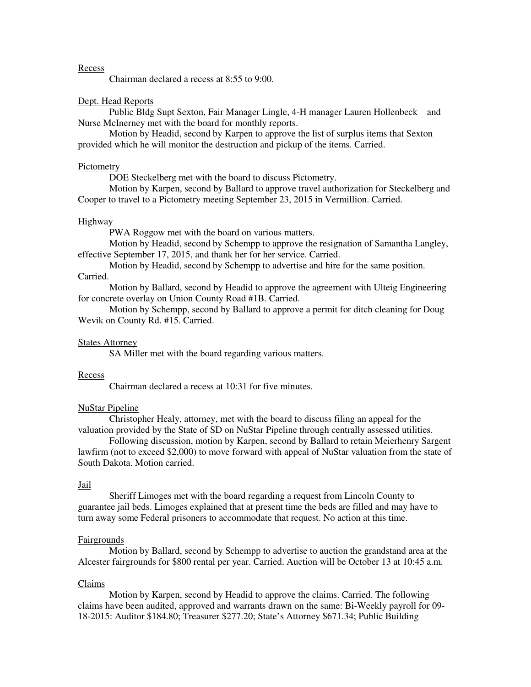#### Recess

Chairman declared a recess at 8:55 to 9:00.

## Dept. Head Reports

 Public Bldg Supt Sexton, Fair Manager Lingle, 4-H manager Lauren Hollenbeck and Nurse McInerney met with the board for monthly reports.

 Motion by Headid, second by Karpen to approve the list of surplus items that Sexton provided which he will monitor the destruction and pickup of the items. Carried.

#### **Pictometry**

DOE Steckelberg met with the board to discuss Pictometry.

 Motion by Karpen, second by Ballard to approve travel authorization for Steckelberg and Cooper to travel to a Pictometry meeting September 23, 2015 in Vermillion. Carried.

#### Highway

PWA Roggow met with the board on various matters.

 Motion by Headid, second by Schempp to approve the resignation of Samantha Langley, effective September 17, 2015, and thank her for her service. Carried.

 Motion by Headid, second by Schempp to advertise and hire for the same position. Carried.

 Motion by Ballard, second by Headid to approve the agreement with Ulteig Engineering for concrete overlay on Union County Road #1B. Carried.

 Motion by Schempp, second by Ballard to approve a permit for ditch cleaning for Doug Wevik on County Rd. #15. Carried.

# **States Attorney**

SA Miller met with the board regarding various matters.

#### Recess

Chairman declared a recess at 10:31 for five minutes.

## NuStar Pipeline

 Christopher Healy, attorney, met with the board to discuss filing an appeal for the valuation provided by the State of SD on NuStar Pipeline through centrally assessed utilities.

 Following discussion, motion by Karpen, second by Ballard to retain Meierhenry Sargent lawfirm (not to exceed \$2,000) to move forward with appeal of NuStar valuation from the state of South Dakota. Motion carried.

#### Jail

 Sheriff Limoges met with the board regarding a request from Lincoln County to guarantee jail beds. Limoges explained that at present time the beds are filled and may have to turn away some Federal prisoners to accommodate that request. No action at this time.

#### Fairgrounds

 Motion by Ballard, second by Schempp to advertise to auction the grandstand area at the Alcester fairgrounds for \$800 rental per year. Carried. Auction will be October 13 at 10:45 a.m.

#### Claims

 Motion by Karpen, second by Headid to approve the claims. Carried. The following claims have been audited, approved and warrants drawn on the same: Bi-Weekly payroll for 09- 18-2015: Auditor \$184.80; Treasurer \$277.20; State's Attorney \$671.34; Public Building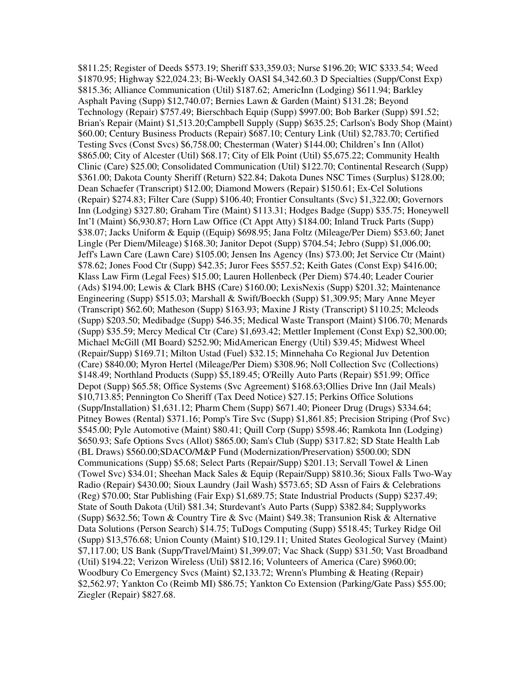\$811.25; Register of Deeds \$573.19; Sheriff \$33,359.03; Nurse \$196.20; WIC \$333.54; Weed \$1870.95; Highway \$22,024.23; Bi-Weekly OASI \$4,342.60.3 D Specialties (Supp/Const Exp) \$815.36; Alliance Communication (Util) \$187.62; AmericInn (Lodging) \$611.94; Barkley Asphalt Paving (Supp) \$12,740.07; Bernies Lawn & Garden (Maint) \$131.28; Beyond Technology (Repair) \$757.49; Bierschbach Equip (Supp) \$997.00; Bob Barker (Supp) \$91.52; Brian's Repair (Maint) \$1,513.20;Campbell Supply (Supp) \$635.25; Carlson's Body Shop (Maint) \$60.00; Century Business Products (Repair) \$687.10; Century Link (Util) \$2,783.70; Certified Testing Svcs (Const Svcs) \$6,758.00; Chesterman (Water) \$144.00; Children's Inn (Allot) \$865.00; City of Alcester (Util) \$68.17; City of Elk Point (Util) \$5,675.22; Community Health Clinic (Care) \$25.00; Consolidated Communication (Util) \$122.70; Continental Research (Supp) \$361.00; Dakota County Sheriff (Return) \$22.84; Dakota Dunes NSC Times (Surplus) \$128.00; Dean Schaefer (Transcript) \$12.00; Diamond Mowers (Repair) \$150.61; Ex-Cel Solutions (Repair) \$274.83; Filter Care (Supp) \$106.40; Frontier Consultants (Svc) \$1,322.00; Governors Inn (Lodging) \$327.80; Graham Tire (Maint) \$113.31; Hodges Badge (Supp) \$35.75; Honeywell Int'l (Maint) \$6,930.87; Horn Law Office (Ct Appt Atty) \$184.00; Inland Truck Parts (Supp) \$38.07; Jacks Uniform & Equip ((Equip) \$698.95; Jana Foltz (Mileage/Per Diem) \$53.60; Janet Lingle (Per Diem/Mileage) \$168.30; Janitor Depot (Supp) \$704.54; Jebro (Supp) \$1,006.00; Jeff's Lawn Care (Lawn Care) \$105.00; Jensen Ins Agency (Ins) \$73.00; Jet Service Ctr (Maint) \$78.62; Jones Food Ctr (Supp) \$42.35; Juror Fees \$557.52; Keith Gates (Const Exp) \$416.00; Klass Law Firm (Legal Fees) \$15.00; Lauren Hollenbeck (Per Diem) \$74.40; Leader Courier (Ads) \$194.00; Lewis & Clark BHS (Care) \$160.00; LexisNexis (Supp) \$201.32; Maintenance Engineering (Supp) \$515.03; Marshall & Swift/Boeckh (Supp) \$1,309.95; Mary Anne Meyer (Transcript) \$62.60; Matheson (Supp) \$163.93; Maxine J Risty (Transcript) \$110.25; Mcleods (Supp) \$203.50; Medibadge (Supp) \$46.35; Medical Waste Transport (Maint) \$106.70; Menards (Supp) \$35.59; Mercy Medical Ctr (Care) \$1,693.42; Mettler Implement (Const Exp) \$2,300.00; Michael McGill (MI Board) \$252.90; MidAmerican Energy (Util) \$39.45; Midwest Wheel (Repair/Supp) \$169.71; Milton Ustad (Fuel) \$32.15; Minnehaha Co Regional Juv Detention (Care) \$840.00; Myron Hertel (Mileage/Per Diem) \$308.96; Noll Collection Svc (Collections) \$148.49; Northland Products (Supp) \$5,189.45; O'Reilly Auto Parts (Repair) \$51.99; Office Depot (Supp) \$65.58; Office Systems (Svc Agreement) \$168.63;Ollies Drive Inn (Jail Meals) \$10,713.85; Pennington Co Sheriff (Tax Deed Notice) \$27.15; Perkins Office Solutions (Supp/Installation) \$1,631.12; Pharm Chem (Supp) \$671.40; Pioneer Drug (Drugs) \$334.64; Pitney Bowes (Rental) \$371.16; Pomp's Tire Svc (Supp) \$1,861.85; Precision Striping (Prof Svc) \$545.00; Pyle Automotive (Maint) \$80.41; Quill Corp (Supp) \$598.46; Ramkota Inn (Lodging) \$650.93; Safe Options Svcs (Allot) \$865.00; Sam's Club (Supp) \$317.82; SD State Health Lab (BL Draws) \$560.00;SDACO/M&P Fund (Modernization/Preservation) \$500.00; SDN Communications (Supp) \$5.68; Select Parts (Repair/Supp) \$201.13; Servall Towel & Linen (Towel Svc) \$34.01; Sheehan Mack Sales & Equip (Repair/Supp) \$810.36; Sioux Falls Two-Way Radio (Repair) \$430.00; Sioux Laundry (Jail Wash) \$573.65; SD Assn of Fairs & Celebrations (Reg) \$70.00; Star Publishing (Fair Exp) \$1,689.75; State Industrial Products (Supp) \$237.49; State of South Dakota (Util) \$81.34; Sturdevant's Auto Parts (Supp) \$382.84; Supplyworks (Supp) \$632.56; Town & Country Tire & Svc (Maint) \$49.38; Transunion Risk & Alternative Data Solutions (Person Search) \$14.75; TuDogs Computing (Supp) \$518.45; Turkey Ridge Oil (Supp) \$13,576.68; Union County (Maint) \$10,129.11; United States Geological Survey (Maint) \$7,117.00; US Bank (Supp/Travel/Maint) \$1,399.07; Vac Shack (Supp) \$31.50; Vast Broadband (Util) \$194.22; Verizon Wireless (Util) \$812.16; Volunteers of America (Care) \$960.00; Woodbury Co Emergency Svcs (Maint) \$2,133.72; Wrenn's Plumbing & Heating (Repair) \$2,562.97; Yankton Co (Reimb MI) \$86.75; Yankton Co Extension (Parking/Gate Pass) \$55.00; Ziegler (Repair) \$827.68.